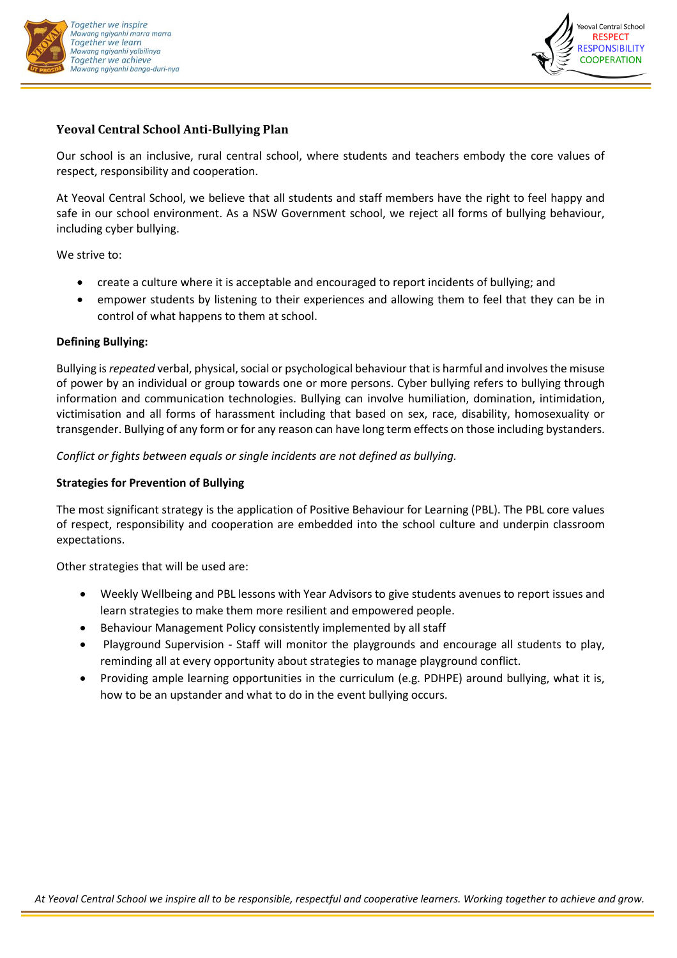



# **Yeoval Central School Anti-Bullying Plan**

Our school is an inclusive, rural central school, where students and teachers embody the core values of respect, responsibility and cooperation.

At Yeoval Central School, we believe that all students and staff members have the right to feel happy and safe in our school environment. As a NSW Government school, we reject all forms of bullying behaviour, including cyber bullying.

We strive to:

- create a culture where it is acceptable and encouraged to report incidents of bullying; and
- empower students by listening to their experiences and allowing them to feel that they can be in control of what happens to them at school.

### **Defining Bullying:**

Bullying is*repeated* verbal, physical, social or psychological behaviour that is harmful and involves the misuse of power by an individual or group towards one or more persons. Cyber bullying refers to bullying through information and communication technologies. Bullying can involve humiliation, domination, intimidation, victimisation and all forms of harassment including that based on sex, race, disability, homosexuality or transgender. Bullying of any form or for any reason can have long term effects on those including bystanders.

*Conflict or fights between equals or single incidents are not defined as bullying.*

### **Strategies for Prevention of Bullying**

The most significant strategy is the application of Positive Behaviour for Learning (PBL). The PBL core values of respect, responsibility and cooperation are embedded into the school culture and underpin classroom expectations.

Other strategies that will be used are:

- Weekly Wellbeing and PBL lessons with Year Advisors to give students avenues to report issues and learn strategies to make them more resilient and empowered people.
- Behaviour Management Policy consistently implemented by all staff
- Playground Supervision Staff will monitor the playgrounds and encourage all students to play, reminding all at every opportunity about strategies to manage playground conflict.
- Providing ample learning opportunities in the curriculum (e.g. PDHPE) around bullying, what it is, how to be an upstander and what to do in the event bullying occurs.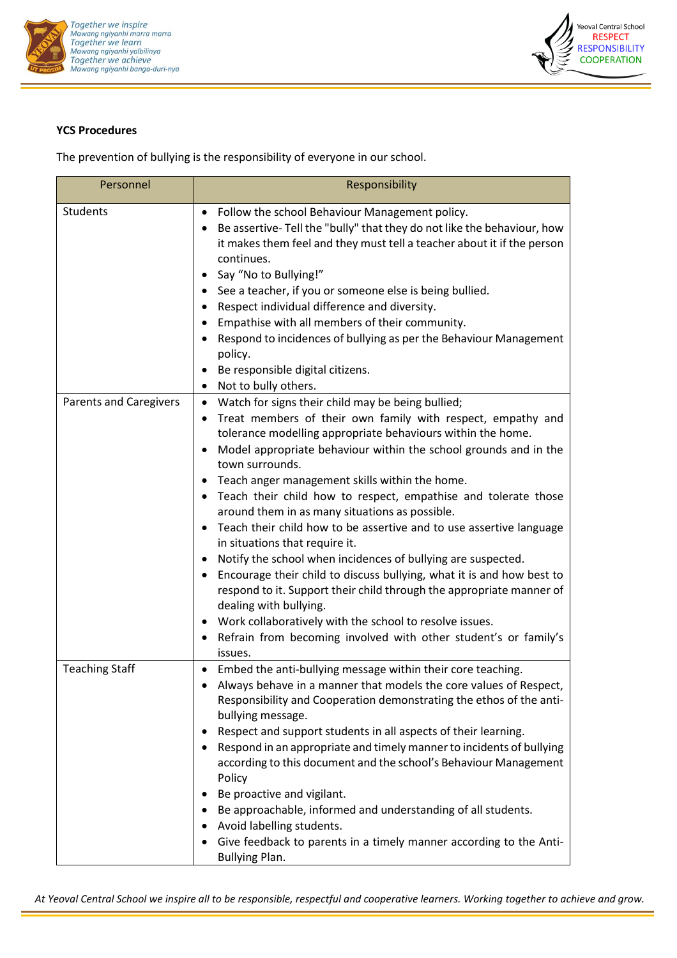



## **YCS Procedures**

The prevention of bullying is the responsibility of everyone in our school.

| Personnel                     | Responsibility                                                                                                                                                                                                                                                                                                                                                                                                                                                                                                                                                                                                                                                                                                                                                                                                                                                                                                                                                                                       |
|-------------------------------|------------------------------------------------------------------------------------------------------------------------------------------------------------------------------------------------------------------------------------------------------------------------------------------------------------------------------------------------------------------------------------------------------------------------------------------------------------------------------------------------------------------------------------------------------------------------------------------------------------------------------------------------------------------------------------------------------------------------------------------------------------------------------------------------------------------------------------------------------------------------------------------------------------------------------------------------------------------------------------------------------|
| Students                      | Follow the school Behaviour Management policy.<br>$\bullet$<br>Be assertive-Tell the "bully" that they do not like the behaviour, how<br>it makes them feel and they must tell a teacher about it if the person<br>continues.<br>Say "No to Bullying!"<br>٠<br>See a teacher, if you or someone else is being bullied.<br>٠<br>Respect individual difference and diversity.<br>$\bullet$<br>Empathise with all members of their community.<br>Respond to incidences of bullying as per the Behaviour Management<br>$\bullet$<br>policy.<br>Be responsible digital citizens.<br>Not to bully others.<br>$\bullet$                                                                                                                                                                                                                                                                                                                                                                                     |
| <b>Parents and Caregivers</b> | Watch for signs their child may be being bullied;<br>$\bullet$<br>Treat members of their own family with respect, empathy and<br>tolerance modelling appropriate behaviours within the home.<br>Model appropriate behaviour within the school grounds and in the<br>$\bullet$<br>town surrounds.<br>Teach anger management skills within the home.<br>Teach their child how to respect, empathise and tolerate those<br>٠<br>around them in as many situations as possible.<br>Teach their child how to be assertive and to use assertive language<br>$\bullet$<br>in situations that require it.<br>Notify the school when incidences of bullying are suspected.<br>٠<br>Encourage their child to discuss bullying, what it is and how best to<br>respond to it. Support their child through the appropriate manner of<br>dealing with bullying.<br>Work collaboratively with the school to resolve issues.<br>٠<br>Refrain from becoming involved with other student's or family's<br>٠<br>issues. |
| <b>Teaching Staff</b>         | Embed the anti-bullying message within their core teaching.<br>$\bullet$<br>Always behave in a manner that models the core values of Respect,<br>Responsibility and Cooperation demonstrating the ethos of the anti-<br>bullying message.<br>Respect and support students in all aspects of their learning.<br>Respond in an appropriate and timely manner to incidents of bullying<br>according to this document and the school's Behaviour Management<br>Policy<br>Be proactive and vigilant.<br>$\bullet$<br>Be approachable, informed and understanding of all students.<br>Avoid labelling students.<br>Give feedback to parents in a timely manner according to the Anti-<br><b>Bullying Plan.</b>                                                                                                                                                                                                                                                                                             |

*At Yeoval Central School we inspire all to be responsible, respectful and cooperative learners. Working together to achieve and grow.*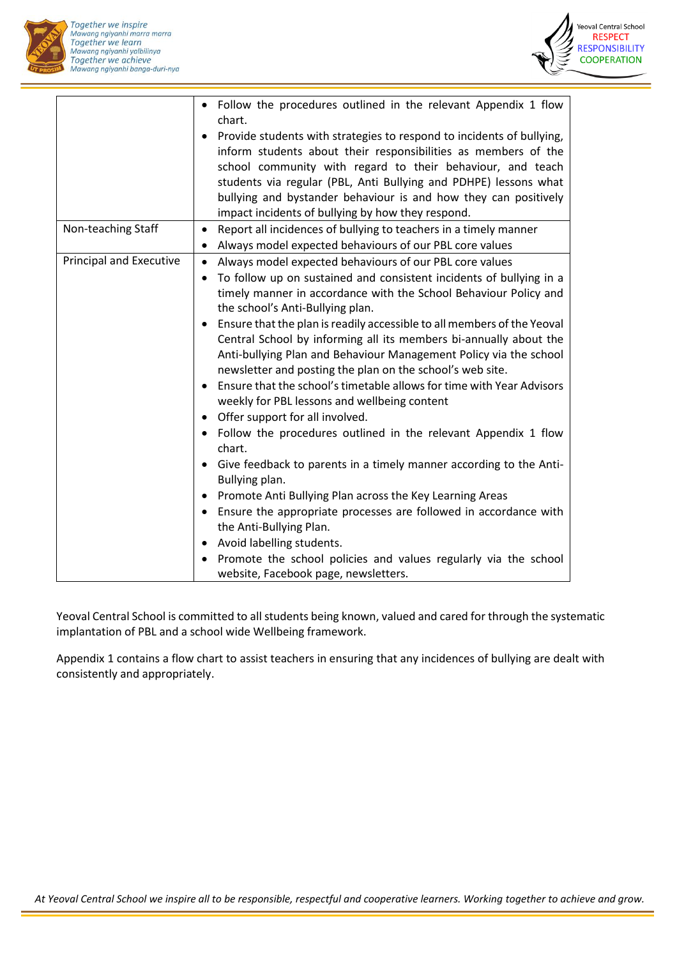



|                         | • Follow the procedures outlined in the relevant Appendix 1 flow<br>chart.<br>Provide students with strategies to respond to incidents of bullying,<br>$\bullet$<br>inform students about their responsibilities as members of the<br>school community with regard to their behaviour, and teach<br>students via regular (PBL, Anti Bullying and PDHPE) lessons what<br>bullying and bystander behaviour is and how they can positively<br>impact incidents of bullying by how they respond. |
|-------------------------|----------------------------------------------------------------------------------------------------------------------------------------------------------------------------------------------------------------------------------------------------------------------------------------------------------------------------------------------------------------------------------------------------------------------------------------------------------------------------------------------|
| Non-teaching Staff      | Report all incidences of bullying to teachers in a timely manner<br>$\bullet$<br>Always model expected behaviours of our PBL core values<br>$\bullet$                                                                                                                                                                                                                                                                                                                                        |
| Principal and Executive | Always model expected behaviours of our PBL core values<br>$\bullet$<br>To follow up on sustained and consistent incidents of bullying in a<br>$\bullet$<br>timely manner in accordance with the School Behaviour Policy and<br>the school's Anti-Bullying plan.                                                                                                                                                                                                                             |
|                         | Ensure that the plan is readily accessible to all members of the Yeoval<br>$\bullet$<br>Central School by informing all its members bi-annually about the<br>Anti-bullying Plan and Behaviour Management Policy via the school<br>newsletter and posting the plan on the school's web site.<br>Ensure that the school's timetable allows for time with Year Advisors<br>$\bullet$                                                                                                            |
|                         | weekly for PBL lessons and wellbeing content<br>Offer support for all involved.<br>$\bullet$                                                                                                                                                                                                                                                                                                                                                                                                 |
|                         | Follow the procedures outlined in the relevant Appendix 1 flow<br>$\bullet$<br>chart.                                                                                                                                                                                                                                                                                                                                                                                                        |
|                         | Give feedback to parents in a timely manner according to the Anti-<br>$\bullet$<br>Bullying plan.                                                                                                                                                                                                                                                                                                                                                                                            |
|                         | Promote Anti Bullying Plan across the Key Learning Areas<br>٠                                                                                                                                                                                                                                                                                                                                                                                                                                |
|                         | Ensure the appropriate processes are followed in accordance with<br>٠<br>the Anti-Bullying Plan.                                                                                                                                                                                                                                                                                                                                                                                             |
|                         | Avoid labelling students.<br>$\bullet$                                                                                                                                                                                                                                                                                                                                                                                                                                                       |
|                         | Promote the school policies and values regularly via the school<br>website, Facebook page, newsletters.                                                                                                                                                                                                                                                                                                                                                                                      |

Yeoval Central School is committed to all students being known, valued and cared for through the systematic implantation of PBL and a school wide Wellbeing framework.

Appendix 1 contains a flow chart to assist teachers in ensuring that any incidences of bullying are dealt with consistently and appropriately.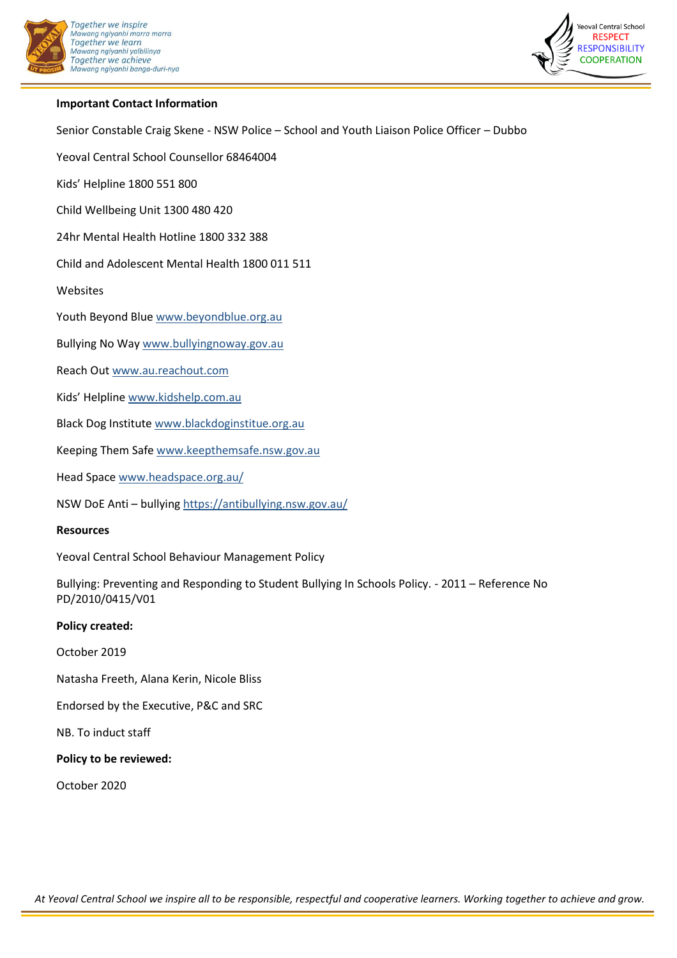



## **Important Contact Information**

Senior Constable Craig Skene - NSW Police – School and Youth Liaison Police Officer – Dubbo

Yeoval Central School Counsellor 68464004

Kids' Helpline 1800 551 800

Child Wellbeing Unit 1300 480 420

24hr Mental Health Hotline 1800 332 388

Child and Adolescent Mental Health 1800 011 511

Websites

Youth Beyond Blue [www.beyondblue.org.au](http://www.beyondblue.org.au/)

Bullying No Way [www.bullyingnoway.gov.au](http://www.bullyingnoway.gov.au/)

Reach Ou[t www.au.reachout.com](http://www.au.reachout.com/)

Kids' Helpline [www.kidshelp.com.au](http://www.kidshelp.com.au/)

Black Dog Institute [www.blackdoginstitue.org.au](http://www.blackdoginstitue.org.au/)

Keeping Them Saf[e www.keepthemsafe.nsw.gov.au](http://www.keepthemsafe.nsw.gov.au/)

Head Space [www.headspace.org.au/](http://www.headspace.org.au/)

NSW DoE Anti – bullying<https://antibullying.nsw.gov.au/>

#### **Resources**

Yeoval Central School Behaviour Management Policy

Bullying: Preventing and Responding to Student Bullying In Schools Policy. - 2011 – Reference No PD/2010/0415/V01

#### **Policy created:**

October 2019

Natasha Freeth, Alana Kerin, Nicole Bliss

Endorsed by the Executive, P&C and SRC

NB. To induct staff

**Policy to be reviewed:**

October 2020